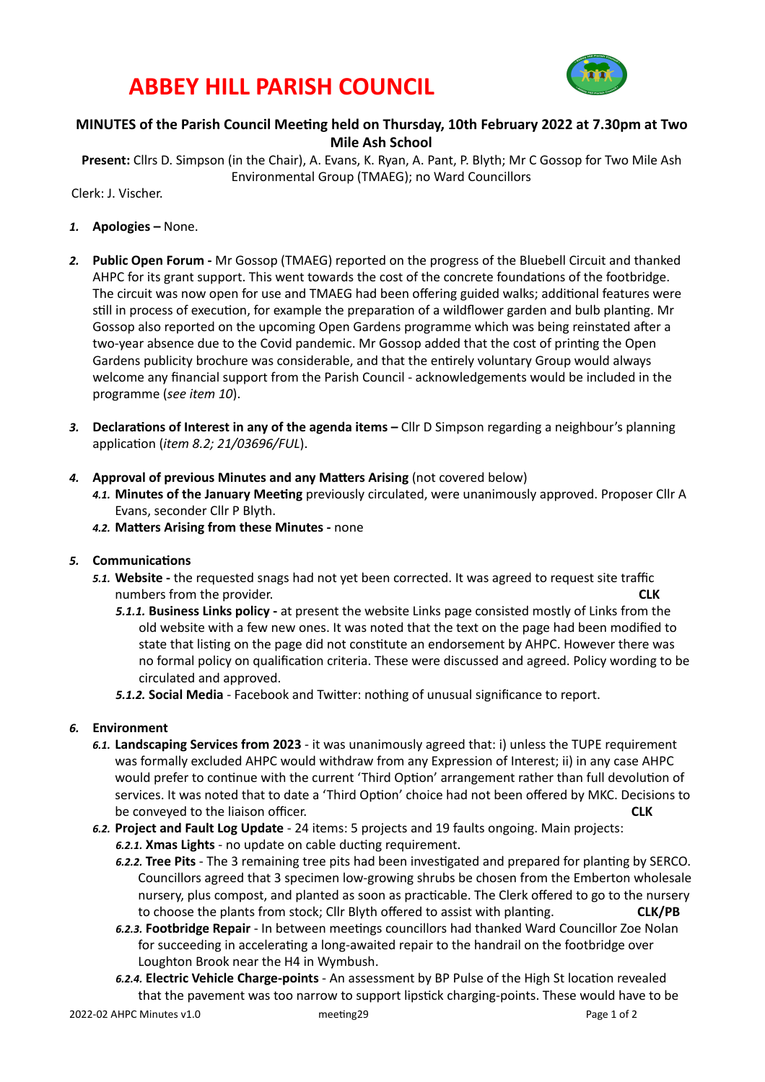## **ABBEY HILL PARISH COUNCIL**



### **MINUTES of the Parish Council Meeting held on Thursday, 10th February 2022 at 7.30pm at Two Mile Ash School**

Present: Cllrs D. Simpson (in the Chair), A. Evans, K. Ryan, A. Pant, P. Blyth; Mr C Gossop for Two Mile Ash Environmental Group (TMAEG); no Ward Councillors

Clerk: J. Vischer. 

- 1. **Apologies** None.
- 2. **Public Open Forum** Mr Gossop (TMAEG) reported on the progress of the Bluebell Circuit and thanked AHPC for its grant support. This went towards the cost of the concrete foundations of the footbridge. The circuit was now open for use and TMAEG had been offering guided walks; additional features were still in process of execution, for example the preparation of a wildflower garden and bulb planting. Mr Gossop also reported on the upcoming Open Gardens programme which was being reinstated after a two-year absence due to the Covid pandemic. Mr Gossop added that the cost of printing the Open Gardens publicity brochure was considerable, and that the entirely voluntary Group would always welcome any financial support from the Parish Council - acknowledgements would be included in the programme (see item 10).
- 3. **Declarations of Interest in any of the agenda items Cllr** D Simpson regarding a neighbour's planning application (*item 8.2; 21/03696/FUL*).
- 4. **Approval of previous Minutes and any Matters Arising** (not covered below)
	- 4.1. Minutes of the January Meeting previously circulated, were unanimously approved. Proposer Cllr A Evans, seconder Cllr P Blyth.
	- 4.2. Matters Arising from these Minutes none

#### **5.** Communications

- 5.1. Website the requested snags had not yet been corrected. It was agreed to request site traffic numbers from the provider.
	- **5.1.1. Business Links policy** at present the website Links page consisted mostly of Links from the old website with a few new ones. It was noted that the text on the page had been modified to state that listing on the page did not constitute an endorsement by AHPC. However there was no formal policy on qualification criteria. These were discussed and agreed. Policy wording to be circulated and approved.
	- **5.1.2. Social Media** Facebook and Twitter: nothing of unusual significance to report.

#### *6.* **Environment**

- 6.1. Landscaping Services from 2023 it was unanimously agreed that: i) unless the TUPE requirement was formally excluded AHPC would withdraw from any Expression of Interest; ii) in any case AHPC would prefer to continue with the current 'Third Option' arrangement rather than full devolution of services. It was noted that to date a 'Third Option' choice had not been offered by MKC. Decisions to **be** conveyed to the liaison officer. **A** *CLK CLK*
- 6.2. Project and Fault Log Update 24 items: 5 projects and 19 faults ongoing. Main projects: 6.2.1. Xmas Lights - no update on cable ducting requirement.
	- 6.2.2. **Tree Pits** The 3 remaining tree pits had been investigated and prepared for planting by SERCO. Councillors agreed that 3 specimen low-growing shrubs be chosen from the Emberton wholesale nursery, plus compost, and planted as soon as practicable. The Clerk offered to go to the nursery to choose the plants from stock; Cllr Blyth offered to assist with planting. **CLK/PB**
	- 6.2.3. Footbridge Repair In between meetings councillors had thanked Ward Councillor Zoe Nolan for succeeding in accelerating a long-awaited repair to the handrail on the footbridge over Loughton Brook near the H4 in Wymbush.
	- 6.2.4. Electric Vehicle Charge-points An assessment by BP Pulse of the High St location revealed that the pavement was too narrow to support lipstick charging-points. These would have to be